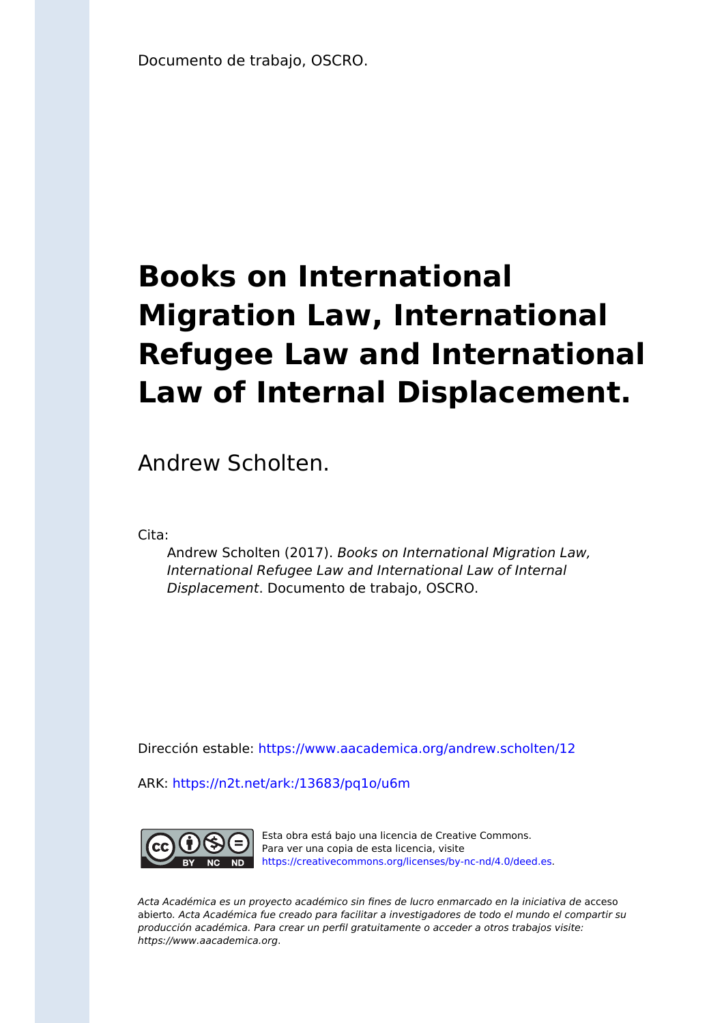Documento de trabajo, OSCRO.

## **Books on International Migration Law, International Refugee Law and International Law of Internal Displacement.**

Andrew Scholten.

Cita:

Andrew Scholten (2017). Books on International Migration Law, International Refugee Law and International Law of Internal Displacement. Documento de trabajo, OSCRO.

Dirección estable:<https://www.aacademica.org/andrew.scholten/12>

ARK: <https://n2t.net/ark:/13683/pq1o/u6m>



Esta obra está bajo una licencia de Creative Commons. Para ver una copia de esta licencia, visite [https://creativecommons.org/licenses/by-nc-nd/4.0/deed.es.](https://creativecommons.org/licenses/by-nc-nd/4.0/deed.es)

Acta Académica es un proyecto académico sin fines de lucro enmarcado en la iniciativa de acceso abierto. Acta Académica fue creado para facilitar a investigadores de todo el mundo el compartir su producción académica. Para crear un perfil gratuitamente o acceder a otros trabajos visite: https://www.aacademica.org.